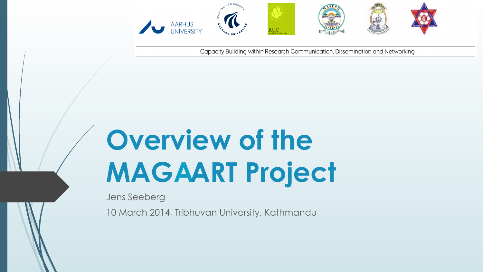

Capacity Building within Research Communication, Dissemination and Networking

# **Overview of the MAGAART Project**

Jens Seeberg

10 March 2014, Tribhuvan University, Kathmandu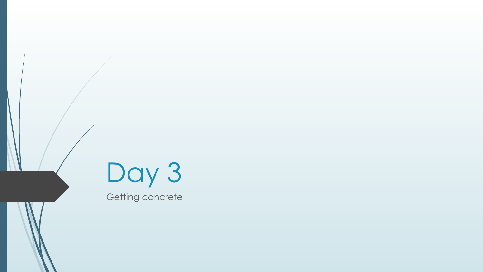



Getting concrete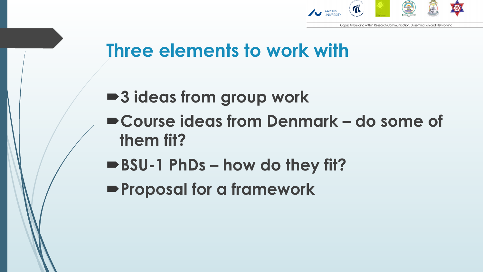

#### **Three elements to work with**

- 3 ideas from group work
- ´**Course ideas from Denmark do some of them fit?**
- ■BSU-1 PhDs how do they fit?
- **Proposal for a framework**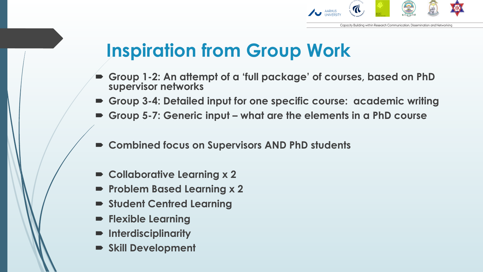

## **Inspiration from Group Work**

- ´ **Group 1-2: An attempt of a 'full package' of courses, based on PhD supervisor networks**
- ´ **Group 3-4: Detailed input for one specific course: academic writing**
- ´ **Group 5-7: Generic input what are the elements in a PhD course**
- Combined focus on Supervisors AND PhD students
- **Collaborative Learning x 2**
- **Problem Based Learning x 2**
- $\blacktriangleright$  **Student Centred Learning**
- ´ **Flexible Learning**
- ´ **Interdisciplinarity**
- $\blacktriangleright$  **Skill Development**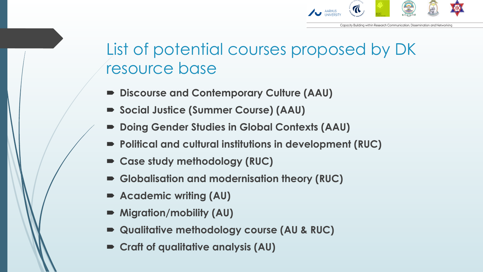

#### List of potential courses proposed by DK resource base

- ´ **Discourse and Contemporary Culture (AAU)**
- Social Justice (Summer Course) (AAU)
- ´ **Doing Gender Studies in Global Contexts (AAU)**
- Political and cultural institutions in development (RUC)
- Case study methodology (RUC)
- Globalisation and modernisation theory (RUC)
- Academic writing (AU)
- $\blacktriangleright$  Migration/mobility (AU)
- ´ **Qualitative methodology course (AU & RUC)**
- $\blacktriangleright$  Craft of qualitative analysis (AU)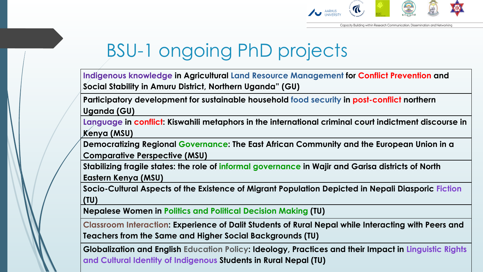

## BSU-1 ongoing PhD projects

**Indigenous knowledge in Agricultural Land Resource Management for Conflict Prevention and Social Stability in Amuru District, Northern Uganda" (GU)**

**Participatory development for sustainable household food security in post-conflict northern Uganda (GU)**

**Language in conflict: Kiswahili metaphors in the international criminal court indictment discourse in Kenya (MSU)**

**Democratizing Regional Governance: The East African Community and the European Union in a Comparative Perspective (MSU)**

**Stabilizing fragile states: the role of informal governance in Wajir and Garisa districts of North Eastern Kenya (MSU)**

**Socio-Cultural Aspects of the Existence of Migrant Population Depicted in Nepali Diasporic Fiction (TU)**

**Nepalese Women in Politics and Political Decision Making (TU)**

**Classroom Interaction: Experience of Dalit Students of Rural Nepal while Interacting with Peers and Teachers from the Same and Higher Social Backgrounds (TU)**

**Globalization and English Education Policy: Ideology, Practices and their Impact in Linguistic Rights and Cultural Identity of Indigenous Students in Rural Nepal (TU)**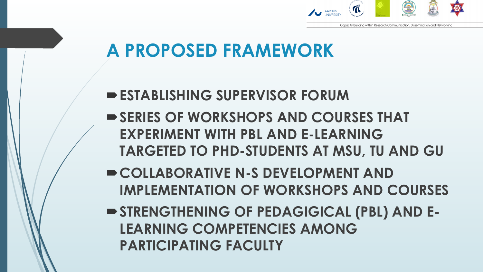

## **A PROPOSED FRAMEWORK**

- **ESTABLISHING SUPERVISOR FORUM**
- **► SERIES OF WORKSHOPS AND COURSES THAT EXPERIMENT WITH PBL AND E-LEARNING TARGETED TO PHD-STUDENTS AT MSU, TU AND GU**
- **► COLLABORATIVE N-S DEVELOPMENT AND IMPLEMENTATION OF WORKSHOPS AND COURSES**
- $\blacktriangleright$  **STRENGTHENING OF PEDAGIGICAL (PBL) AND E-LEARNING COMPETENCIES AMONG PARTICIPATING FACULTY**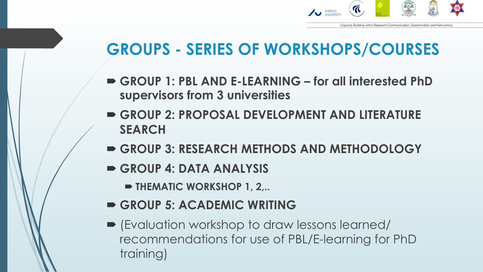

#### **GROUPS - SERIES OF WORKSHOPS/COURSES**

- ´ **GROUP 1: PBL AND E-LEARNING for all interested PhD supervisors from 3 universities**
- **EXCUP 2: PROPOSAL DEVELOPMENT AND LITERATURE SEARCH**
- ´ **GROUP 3: RESEARCH METHODS AND METHODOLOGY**
- ´ **GROUP 4: DATA ANALYSIS** 
	- **EXTEMATIC WORKSHOP 1, 2,..**
- GROUP 5: ACADEMIC WRITING
- ´ (Evaluation workshop to draw lessons learned/ recommendations for use of PBL/E-learning for PhD training)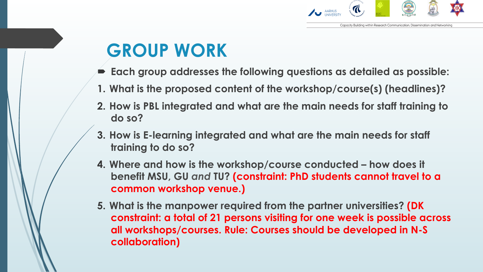

## **GROUP WORK**

- ´ **Each group addresses the following questions as detailed as possible:**
- **1. What is the proposed content of the workshop/course(s) (headlines)?**
- **2. How is PBL integrated and what are the main needs for staff training to do so?**
- **3. How is E-learning integrated and what are the main needs for staff training to do so?**
- **4. Where and how is the workshop/course conducted how does it benefit MSU, GU** *and* **TU? (constraint: PhD students cannot travel to a common workshop venue.)**
- **5. What is the manpower required from the partner universities? (DK constraint: a total of 21 persons visiting for one week is possible across all workshops/courses. Rule: Courses should be developed in N-S collaboration)**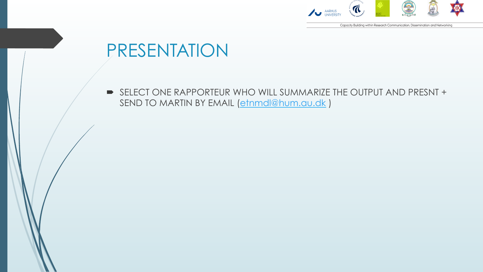

Capacity Building within Research Communication, Dissemination and Networking

#### PRESENTATION

■ SELECT ONE RAPPORTEUR WHO WILL SUMMARIZE THE OUTPUT AND PRESNT + SEND TO MARTIN BY EMAIL (etnmdl@hum.au.dk)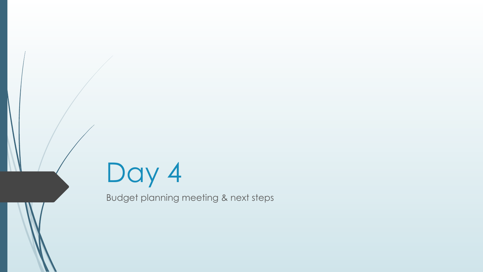

Budget planning meeting & next steps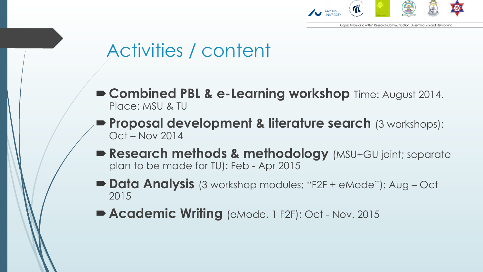

### Activities / content

- ´**Combined PBL & e-Learning workshop** Time: August 2014. Place: MSU & TU
- **Proposal development & literature search** (3 workshops): Oct – Nov 2014
- Research methods & methodology (MSU+GU joint; separate plan to be made for TU): Feb - Apr 2015
- **Data Analysis** (3 workshop modules; "F2F + eMode"): Aug Oct 2015
- **Academic Writing** (eMode, 1 F2F): Oct Nov. 2015